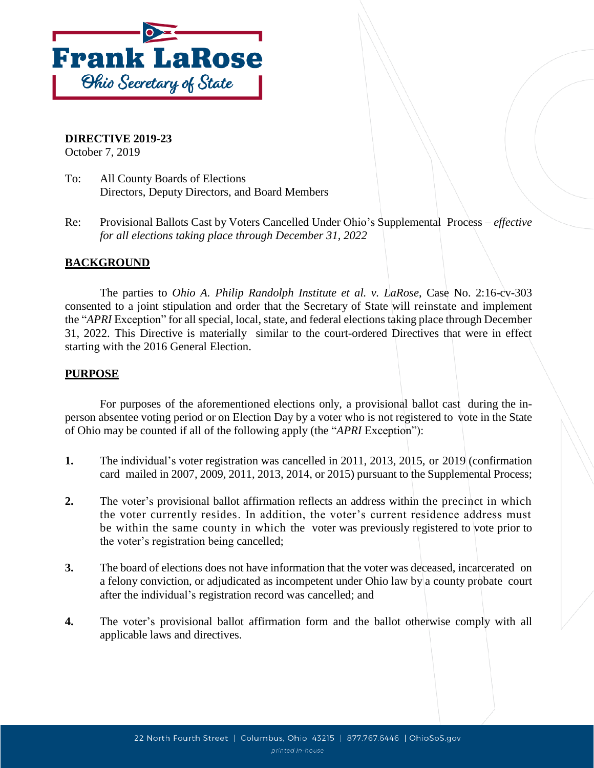

# **DIRECTIVE 2019-23**

October 7, 2019

- To: All County Boards of Elections Directors, Deputy Directors, and Board Members
- Re: Provisional Ballots Cast by Voters Cancelled Under Ohio's Supplemental Process *effective for all elections taking place through December 31, 2022*

# **BACKGROUND**

The parties to *Ohio A. Philip Randolph Institute et al. v. LaRose*, Case No. 2:16-cv-303 consented to a joint stipulation and order that the Secretary of State will reinstate and implement the "*APRI* Exception" for all special, local, state, and federal elections taking place through December 31, 2022. This Directive is materially similar to the court-ordered Directives that were in effect starting with the 2016 General Election.

# **PURPOSE**

For purposes of the aforementioned elections only, a provisional ballot cast during the inperson absentee voting period or on Election Day by a voter who is not registered to vote in the State of Ohio may be counted if all of the following apply (the "*APRI* Exception"):

- **1.** The individual's voter registration was cancelled in 2011, 2013, 2015, or 2019 (confirmation card mailed in 2007, 2009, 2011, 2013, 2014, or 2015) pursuant to the Supplemental Process;
- **2.** The voter's provisional ballot affirmation reflects an address within the precinct in which the voter currently resides. In addition, the voter's current residence address must be within the same county in which the voter was previously registered to vote prior to the voter's registration being cancelled;
- **3.** The board of elections does not have information that the voter was deceased, incarcerated on a felony conviction, or adjudicated as incompetent under Ohio law by a county probate court after the individual's registration record was cancelled; and
- **4.** The voter's provisional ballot affirmation form and the ballot otherwise comply with all applicable laws and directives.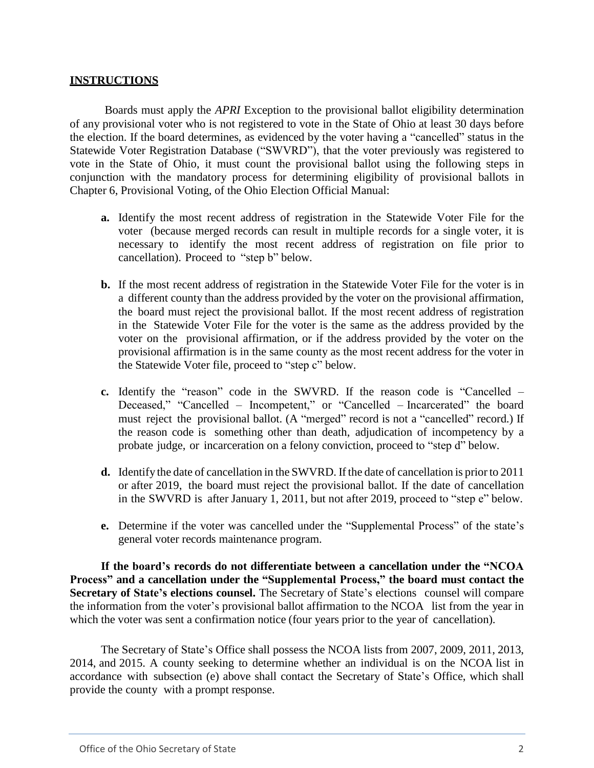#### **INSTRUCTIONS**

Boards must apply the *APRI* Exception to the provisional ballot eligibility determination of any provisional voter who is not registered to vote in the State of Ohio at least 30 days before the election. If the board determines, as evidenced by the voter having a "cancelled" status in the Statewide Voter Registration Database ("SWVRD"), that the voter previously was registered to vote in the State of Ohio, it must count the provisional ballot using the following steps in conjunction with the mandatory process for determining eligibility of provisional ballots in Chapter 6, Provisional Voting, of the Ohio Election Official Manual:

- **a.** Identify the most recent address of registration in the Statewide Voter File for the voter (because merged records can result in multiple records for a single voter, it is necessary to identify the most recent address of registration on file prior to cancellation). Proceed to "step b" below.
- **b.** If the most recent address of registration in the Statewide Voter File for the voter is in a different county than the address provided by the voter on the provisional affirmation, the board must reject the provisional ballot. If the most recent address of registration in the Statewide Voter File for the voter is the same as the address provided by the voter on the provisional affirmation, or if the address provided by the voter on the provisional affirmation is in the same county as the most recent address for the voter in the Statewide Voter file, proceed to "step c" below.
- **c.** Identify the "reason" code in the SWVRD. If the reason code is "Cancelled Deceased," "Cancelled – Incompetent," or "Cancelled – Incarcerated" the board must reject the provisional ballot. (A "merged" record is not a "cancelled" record.) If the reason code is something other than death, adjudication of incompetency by a probate judge, or incarceration on a felony conviction, proceed to "step d" below.
- **d.** Identify the date of cancellation in the SWVRD. If the date of cancellation is priorto 2011 or after 2019, the board must reject the provisional ballot. If the date of cancellation in the SWVRD is after January 1, 2011, but not after 2019, proceed to "step e" below.
- **e.** Determine if the voter was cancelled under the "Supplemental Process" of the state's general voter records maintenance program.

**If the board's records do not differentiate between a cancellation under the "NCOA Process" and a cancellation under the "Supplemental Process," the board must contact the Secretary of State's elections counsel.** The Secretary of State's elections counsel will compare the information from the voter's provisional ballot affirmation to the NCOA list from the year in which the voter was sent a confirmation notice (four years prior to the year of cancellation).

The Secretary of State's Office shall possess the NCOA lists from 2007, 2009, 2011, 2013, 2014, and 2015. A county seeking to determine whether an individual is on the NCOA list in accordance with subsection (e) above shall contact the Secretary of State's Office, which shall provide the county with a prompt response.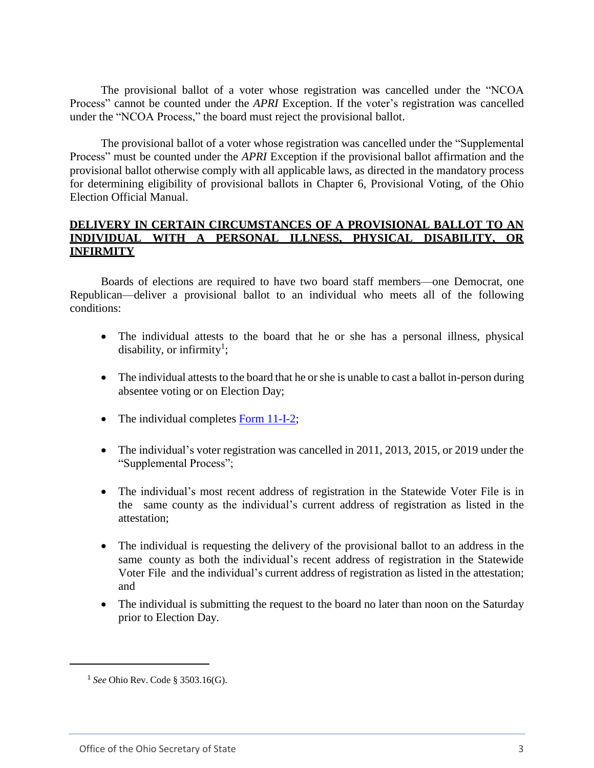The provisional ballot of a voter whose registration was cancelled under the "NCOA Process" cannot be counted under the *APRI* Exception. If the voter's registration was cancelled under the "NCOA Process," the board must reject the provisional ballot.

The provisional ballot of a voter whose registration was cancelled under the "Supplemental Process" must be counted under the *APRI* Exception if the provisional ballot affirmation and the provisional ballot otherwise comply with all applicable laws, as directed in the mandatory process for determining eligibility of provisional ballots in Chapter 6, Provisional Voting, of the Ohio Election Official Manual.

## **DELIVERY IN CERTAIN CIRCUMSTANCES OF A PROVISIONAL BALLOT TO AN INDIVIDUAL WITH A PERSONAL ILLNESS, PHYSICAL DISABILITY, OR INFIRMITY**

Boards of elections are required to have two board staff members—one Democrat, one Republican—deliver a provisional ballot to an individual who meets all of the following conditions:

- The individual attests to the board that he or she has a personal illness, physical disability, or infirmity<sup>1</sup>;
- The individual attests to the board that he or she is unable to cast a ballot in-person during absentee voting or on Election Day;
- The individual completes  $\frac{Form 11-I-2}{}$ ;
- The individual's voter registration was cancelled in 2011, 2013, 2015, or 2019 under the "Supplemental Process";
- The individual's most recent address of registration in the Statewide Voter File is in the same county as the individual's current address of registration as listed in the attestation;
- The individual is requesting the delivery of the provisional ballot to an address in the same county as both the individual's recent address of registration in the Statewide Voter File and the individual's current address of registration as listed in the attestation; and
- The individual is submitting the request to the board no later than noon on the Saturday prior to Election Day.

 $\overline{\phantom{a}}$ 

<sup>1</sup> *See* Ohio Rev. Code § 3503.16(G).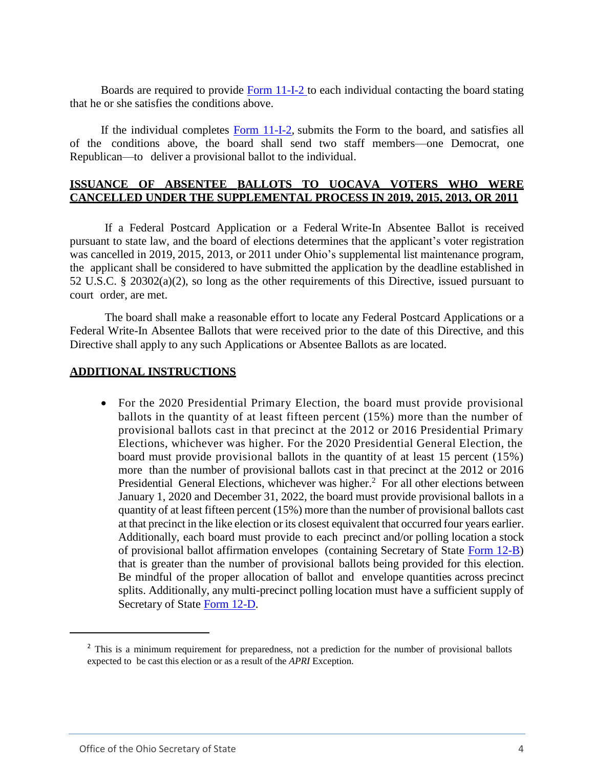Boards are required to provide Form [11-I-2](https://www.sos.state.oh.us/globalassets/elections/forms/11-i-2.pdf) to each individual contacting the board stating that he or she satisfies the conditions above.

If the individual completes Form [11-I-2,](https://www.sos.state.oh.us/globalassets/elections/forms/11-i-2.pdf) submits the Form to the board, and satisfies all of the conditions above, the board shall send two staff members—one Democrat, one Republican—to deliver a provisional ballot to the individual.

## **ISSUANCE OF ABSENTEE BALLOTS TO UOCAVA VOTERS WHO WERE CANCELLED UNDER THE SUPPLEMENTAL PROCESS IN 2019, 2015, 2013, OR 2011**

If a Federal Postcard Application or a Federal Write-In Absentee Ballot is received pursuant to state law, and the board of elections determines that the applicant's voter registration was cancelled in 2019, 2015, 2013, or 2011 under Ohio's supplemental list maintenance program, the applicant shall be considered to have submitted the application by the deadline established in 52 U.S.C. § 20302(a)(2), so long as the other requirements of this Directive, issued pursuant to court order, are met.

The board shall make a reasonable effort to locate any Federal Postcard Applications or a Federal Write-In Absentee Ballots that were received prior to the date of this Directive, and this Directive shall apply to any such Applications or Absentee Ballots as are located.

#### **ADDITIONAL INSTRUCTIONS**

 For the 2020 Presidential Primary Election, the board must provide provisional ballots in the quantity of at least fifteen percent (15%) more than the number of provisional ballots cast in that precinct at the 2012 or 2016 Presidential Primary Elections, whichever was higher. For the 2020 Presidential General Election, the board must provide provisional ballots in the quantity of at least 15 percent (15%) more than the number of provisional ballots cast in that precinct at the 2012 or 2016 Presidential General Elections, whichever was higher.<sup>2</sup> For all other elections between January 1, 2020 and December 31, 2022, the board must provide provisional ballots in a quantity of at least fifteen percent (15%) more than the number of provisional ballots cast at that precinct in the like election or its closest equivalent that occurred four years earlier. Additionally, each board must provide to each precinct and/or polling location a stock of provisional ballot affirmation envelopes (containing Secretary of State Form 12-B) that is greater than the number of provisional ballots being provided for this election. Be mindful of the proper allocation of ballot and envelope quantities across precinct splits. Additionally, any multi-precinct polling location must have a sufficient supply of Secretary of State Form [12-D.](https://www.sos.state.oh.us/globalassets/elections/forms/12-d.pdf)

 $\overline{a}$ 

<sup>&</sup>lt;sup>2</sup> This is a minimum requirement for preparedness, not a prediction for the number of provisional ballots expected to be cast this election or as a result of the *APRI* Exception.